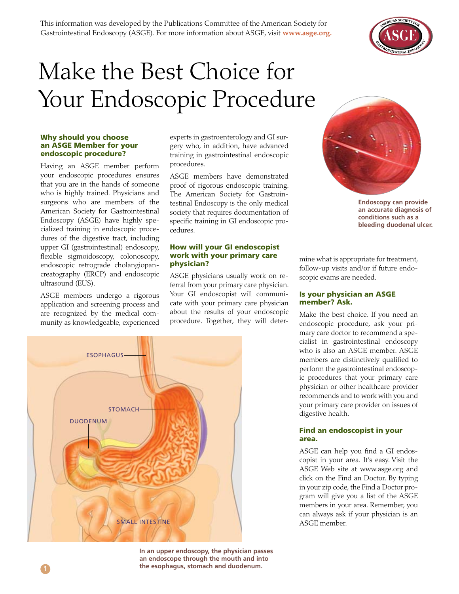

# Make the Best Choice for Your Endoscopic Procedure

#### Why should you choose an ASGE Member for your endoscopic procedure?

Having an ASGE member perform your endoscopic procedures ensures that you are in the hands of someone who is highly trained. Physicians and surgeons who are members of the American Society for Gastrointestinal Endoscopy (ASGE) have highly specialized training in endoscopic procedures of the digestive tract, including upper GI (gastrointestinal) endoscopy, flexible sigmoidoscopy, colonoscopy, endoscopic retrograde cholangiopancreatography (ERCP) and endoscopic ultrasound (EUS).

ASGE members undergo a rigorous application and screening process and are recognized by the medical community as knowledgeable, experienced experts in gastroenterology and GI surgery who, in addition, have advanced training in gastrointestinal endoscopic procedures.

ASGE members have demonstrated proof of rigorous endoscopic training. The American Society for Gastrointestinal Endoscopy is the only medical society that requires documentation of specific training in GI endoscopic procedures.

#### How will your GI endoscopist work with your primary care physician?

ASGE physicians usually work on referral from your primary care physician. Your GI endoscopist will communicate with your primary care physician about the results of your endoscopic procedure. Together, they will deter-





**Endoscopy can provide an accurate diagnosis of conditions such as a bleeding duodenal ulcer.**

mine what is appropriate for treatment, follow-up visits and/or if future endoscopic exams are needed.

#### Is your physician an ASGE member? Ask.

Make the best choice. If you need an endoscopic procedure, ask your primary care doctor to recommend a specialist in gastrointestinal endoscopy who is also an ASGE member. ASGE members are distinctively qualified to perform the gastrointestinal endoscopic procedures that your primary care physician or other healthcare provider recommends and to work with you and your primary care provider on issues of digestive health.

#### Find an endoscopist in your area.

ASGE can help you find a GI endoscopist in your area. It's easy. Visit the ASGE Web site at www.asge.org and click on the Find an Doctor. By typing in your zip code, the Find a Doctor program will give you a list of the ASGE members in your area. Remember, you can always ask if your physician is an

**In an upper endoscopy, the physician passes an endoscope through the mouth and into the esophagus, stomach and duodenum.**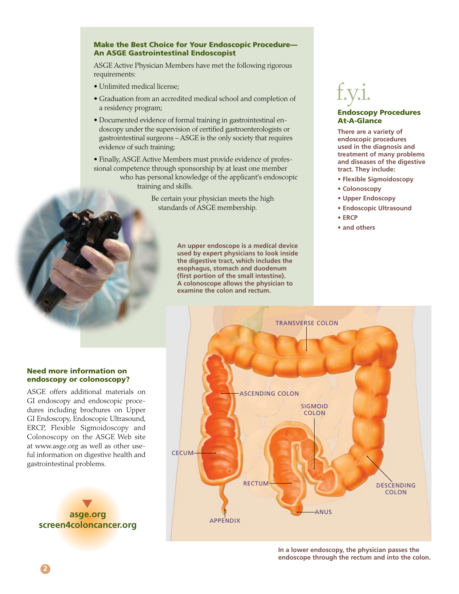#### Make the Best Choice for Your Endoscopic Procedure— An ASGE Gastrointestinal Endoscopist

ASGE Active Physician Members have met the following rigorous requirements:

- Unlimited medical license;
- Graduation from an accredited medical school and completion of a residency program;
- Documented evidence of formal training in gastrointestinal endoscopy under the supervision of certified gastroenterologists or gastrointestinal surgeons – ASGE is the only society that requires evidence of such training;

• Finally, ASGE Active Members must provide evidence of professional competence through sponsorship by at least one member who has personal knowledge of the applicant's endoscopic training and skills.

> Be certain your physician meets the high standards of ASGE membership.

> > **An upper endoscope is a medical device used by expert physicians to look inside the digestive tract, which includes the esophagus, stomach and duodenum (first portion of the small intestine). A colonoscope allows the physician to examine the colon and rectum.**

> > > APPENDIX

## f.y.i.

#### Endoscopy Procedures At-A-Glance

**There are a variety of endoscopic procedures used in the diagnosis and treatment of many problems and diseases of the digestive tract. They include:**

- **Flexible Sigmoidoscopy**
- **Colonoscopy**
- **Upper Endoscopy**
- **Endoscopic Ultrasound**
- **ERCP**
- **and others**



### Need more information on endoscopy or colonoscopy?

ASGE offers additional materials on GI endoscopy and endoscopic procedures including brochures on Upper GI Endoscopy, Endoscopic Ultrasound, ERCP, Flexible Sigmoidoscopy and Colonoscopy on the ASGE Web site at www.asge.org as well as other useful information on digestive health and gastrointestinal problems.